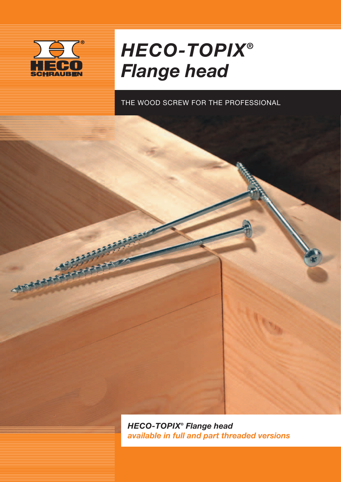

**STATISTICS** 

## *HECO-TOPIX® Flange head*

THE WOOD SCREW FOR THE PROFESSIONAL

*HECO-TOPIX® Flange head available in full and part threaded versions*